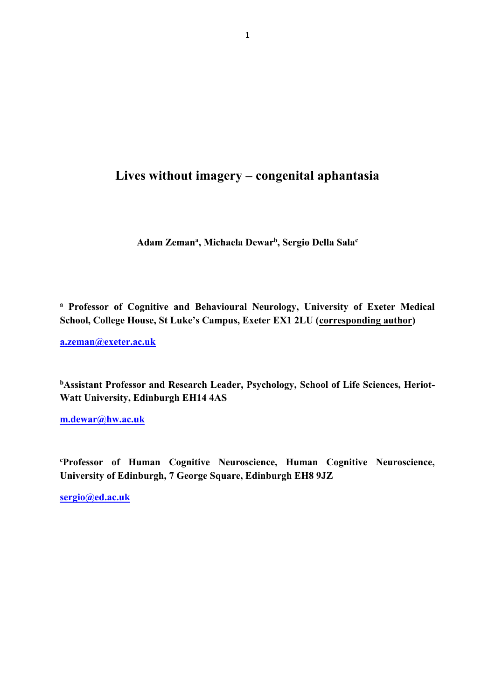# **Lives without imagery – congenital aphantasia**

**Adam Zeman<sup>a</sup> , Michaela Dewar<sup>b</sup> , Sergio Della Sala<sup>c</sup>**

**<sup>a</sup> Professor of Cognitive and Behavioural Neurology, University of Exeter Medical School, College House, St Luke's Campus, Exeter EX1 2LU (corresponding author)**

**[a.zeman@exeter.ac.uk](mailto:a.zeman@exeter.ac.uk)**

**bAssistant Professor and Research Leader, Psychology, School of Life Sciences, Heriot-Watt University, Edinburgh EH14 4AS**

**[m.dewar@hw.ac.uk](mailto:m.dewar@hw.ac.uk)**

**<sup>c</sup>Professor of Human Cognitive Neuroscience, Human Cognitive Neuroscience, University of Edinburgh, 7 George Square, Edinburgh EH8 9JZ**

**[sergio@ed.ac.uk](mailto:sergio@ed.ac.uk)**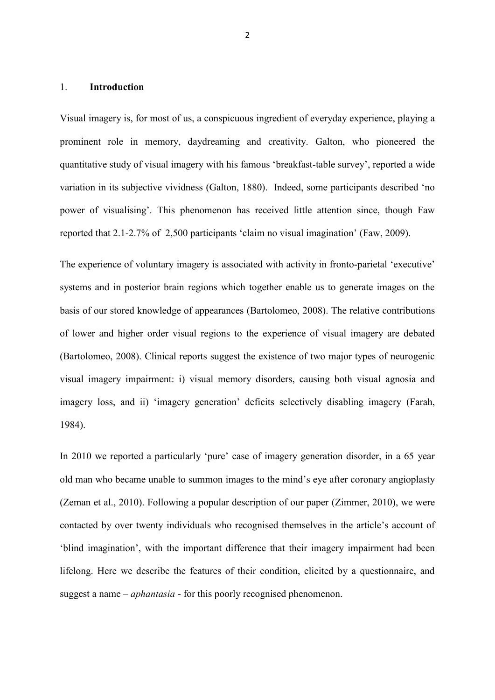### 1. **Introduction**

Visual imagery is, for most of us, a conspicuous ingredient of everyday experience, playing a prominent role in memory, daydreaming and creativity. Galton, who pioneered the quantitative study of visual imagery with his famous 'breakfast-table survey', reported a wide variation in its subjective vividness (Galton, 1880). Indeed, some participants described 'no power of visualising'. This phenomenon has received little attention since, though Faw reported that 2.1-2.7% of 2,500 participants 'claim no visual imagination' (Faw, 2009).

The experience of voluntary imagery is associated with activity in fronto-parietal 'executive' systems and in posterior brain regions which together enable us to generate images on the basis of our stored knowledge of appearances (Bartolomeo, 2008). The relative contributions of lower and higher order visual regions to the experience of visual imagery are debated (Bartolomeo, 2008). Clinical reports suggest the existence of two major types of neurogenic visual imagery impairment: i) visual memory disorders, causing both visual agnosia and imagery loss, and ii) 'imagery generation' deficits selectively disabling imagery (Farah, 1984).

In 2010 we reported a particularly 'pure' case of imagery generation disorder, in a 65 year old man who became unable to summon images to the mind's eye after coronary angioplasty (Zeman et al., 2010). Following a popular description of our paper (Zimmer, 2010), we were contacted by over twenty individuals who recognised themselves in the article's account of 'blind imagination', with the important difference that their imagery impairment had been lifelong. Here we describe the features of their condition, elicited by a questionnaire, and suggest a name – *aphantasia* - for this poorly recognised phenomenon.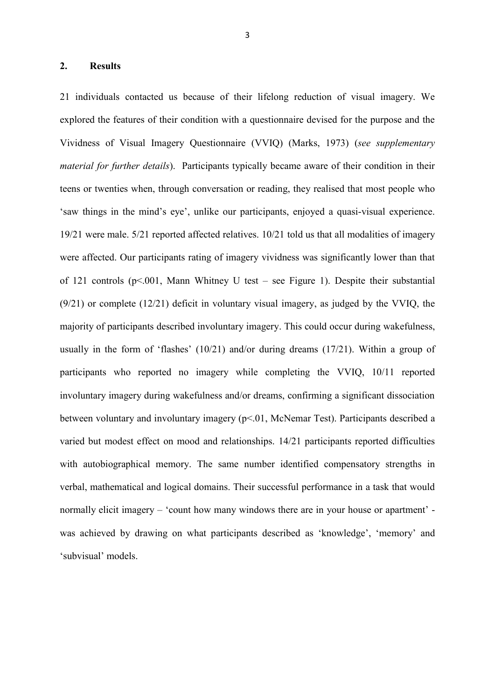#### **2. Results**

21 individuals contacted us because of their lifelong reduction of visual imagery. We explored the features of their condition with a questionnaire devised for the purpose and the Vividness of Visual Imagery Questionnaire (VVIQ) (Marks, 1973) (*see supplementary material for further details*). Participants typically became aware of their condition in their teens or twenties when, through conversation or reading, they realised that most people who 'saw things in the mind's eye', unlike our participants, enjoyed a quasi-visual experience. 19/21 were male. 5/21 reported affected relatives. 10/21 told us that all modalities of imagery were affected. Our participants rating of imagery vividness was significantly lower than that of 121 controls  $(p<0.01$ , Mann Whitney U test – see Figure 1). Despite their substantial (9/21) or complete (12/21) deficit in voluntary visual imagery, as judged by the VVIQ, the majority of participants described involuntary imagery. This could occur during wakefulness, usually in the form of 'flashes' (10/21) and/or during dreams (17/21). Within a group of participants who reported no imagery while completing the VVIQ, 10/11 reported involuntary imagery during wakefulness and/or dreams, confirming a significant dissociation between voluntary and involuntary imagery (p<.01, McNemar Test). Participants described a varied but modest effect on mood and relationships. 14/21 participants reported difficulties with autobiographical memory. The same number identified compensatory strengths in verbal, mathematical and logical domains. Their successful performance in a task that would normally elicit imagery – 'count how many windows there are in your house or apartment' was achieved by drawing on what participants described as 'knowledge', 'memory' and 'subvisual' models.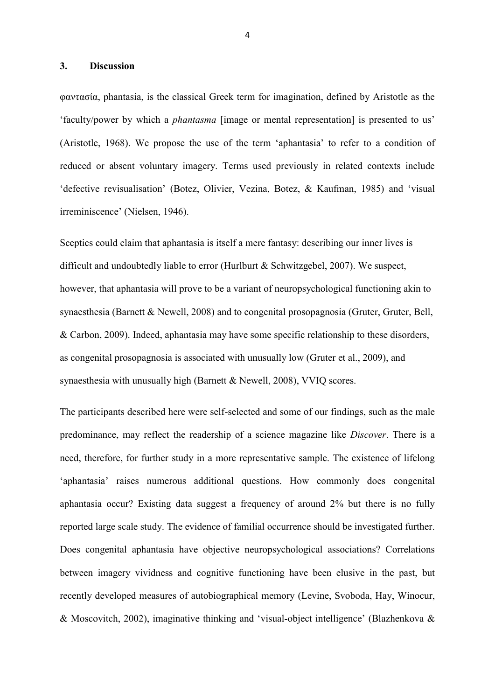#### **3. Discussion**

φαντασία, phantasia, is the classical Greek term for imagination, defined by Aristotle as the 'faculty/power by which a *phantasma* [image or mental representation] is presented to us' (Aristotle, 1968). We propose the use of the term 'aphantasia' to refer to a condition of reduced or absent voluntary imagery. Terms used previously in related contexts include 'defective revisualisation' (Botez, Olivier, Vezina, Botez, & Kaufman, 1985) and 'visual irreminiscence' (Nielsen, 1946).

Sceptics could claim that aphantasia is itself a mere fantasy: describing our inner lives is difficult and undoubtedly liable to error (Hurlburt & Schwitzgebel, 2007). We suspect, however, that aphantasia will prove to be a variant of neuropsychological functioning akin to synaesthesia (Barnett & Newell, 2008) and to congenital prosopagnosia (Gruter, Gruter, Bell, & Carbon, 2009). Indeed, aphantasia may have some specific relationship to these disorders, as congenital prosopagnosia is associated with unusually low (Gruter et al., 2009), and synaesthesia with unusually high (Barnett & Newell, 2008), VVIQ scores.

The participants described here were self-selected and some of our findings, such as the male predominance, may reflect the readership of a science magazine like *Discover*. There is a need, therefore, for further study in a more representative sample. The existence of lifelong 'aphantasia' raises numerous additional questions. How commonly does congenital aphantasia occur? Existing data suggest a frequency of around 2% but there is no fully reported large scale study. The evidence of familial occurrence should be investigated further. Does congenital aphantasia have objective neuropsychological associations? Correlations between imagery vividness and cognitive functioning have been elusive in the past, but recently developed measures of autobiographical memory (Levine, Svoboda, Hay, Winocur, & Moscovitch, 2002), imaginative thinking and 'visual-object intelligence' (Blazhenkova &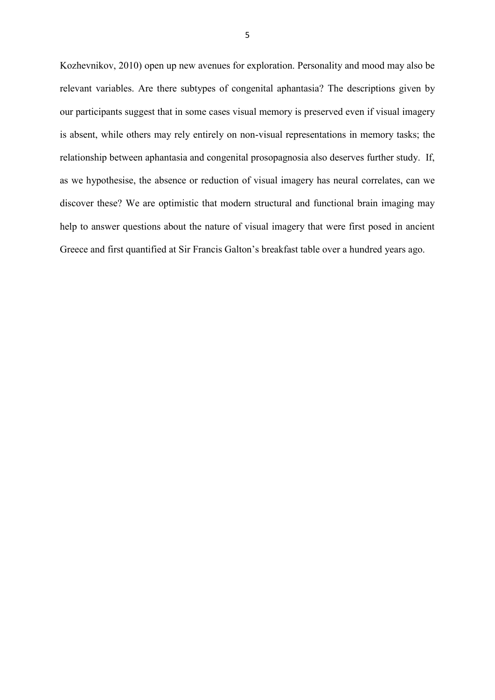Kozhevnikov, 2010) open up new avenues for exploration. Personality and mood may also be relevant variables. Are there subtypes of congenital aphantasia? The descriptions given by our participants suggest that in some cases visual memory is preserved even if visual imagery is absent, while others may rely entirely on non-visual representations in memory tasks; the relationship between aphantasia and congenital prosopagnosia also deserves further study. If, as we hypothesise, the absence or reduction of visual imagery has neural correlates, can we discover these? We are optimistic that modern structural and functional brain imaging may help to answer questions about the nature of visual imagery that were first posed in ancient Greece and first quantified at Sir Francis Galton's breakfast table over a hundred years ago.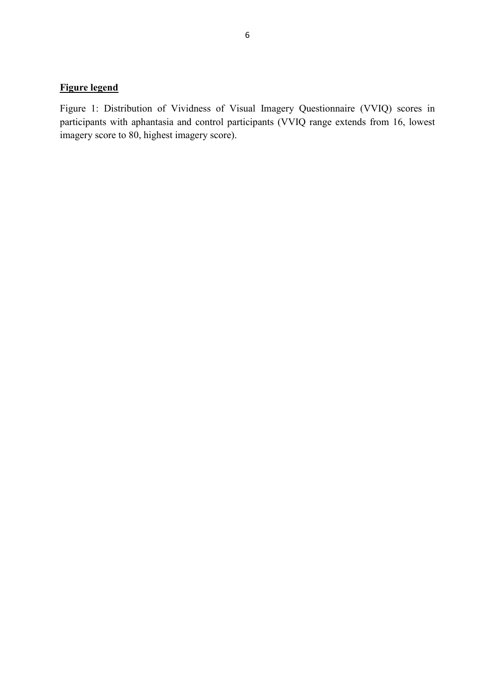# **Figure legend**

Figure 1: Distribution of Vividness of Visual Imagery Questionnaire (VVIQ) scores in participants with aphantasia and control participants (VVIQ range extends from 16, lowest imagery score to 80, highest imagery score).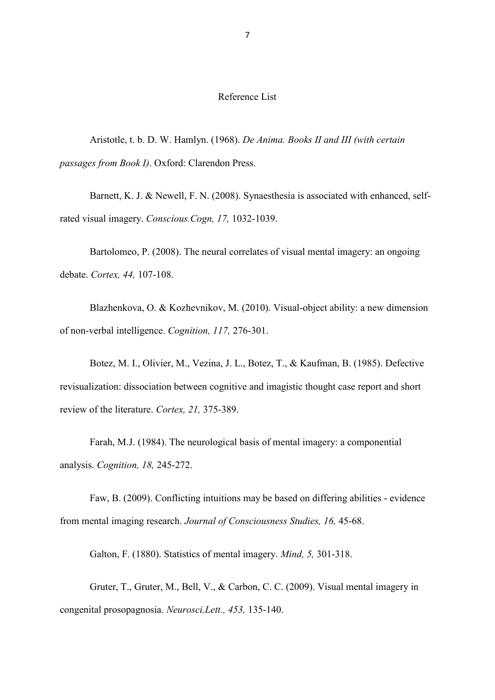## Reference List

Aristotle, t. b. D. W. Hamlyn. (1968). *De Anima. Books II and III (with certain passages from Book I)*. Oxford: Clarendon Press.

Barnett, K. J. & Newell, F. N. (2008). Synaesthesia is associated with enhanced, selfrated visual imagery. *Conscious.Cogn, 17,* 1032-1039.

Bartolomeo, P. (2008). The neural correlates of visual mental imagery: an ongoing debate. *Cortex, 44,* 107-108.

Blazhenkova, O. & Kozhevnikov, M. (2010). Visual-object ability: a new dimension of non-verbal intelligence. *Cognition, 117,* 276-301.

Botez, M. I., Olivier, M., Vezina, J. L., Botez, T., & Kaufman, B. (1985). Defective revisualization: dissociation between cognitive and imagistic thought case report and short review of the literature. *Cortex, 21,* 375-389.

Farah, M.J. (1984). The neurological basis of mental imagery: a componential analysis. *Cognition, 18,* 245-272.

Faw, B. (2009). Conflicting intuitions may be based on differing abilities - evidence from mental imaging research. *Journal of Consciousness Studies, 16,* 45-68.

Galton, F. (1880). Statistics of mental imagery. *Mind, 5,* 301-318.

Gruter, T., Gruter, M., Bell, V., & Carbon, C. C. (2009). Visual mental imagery in congenital prosopagnosia. *Neurosci.Lett., 453,* 135-140.